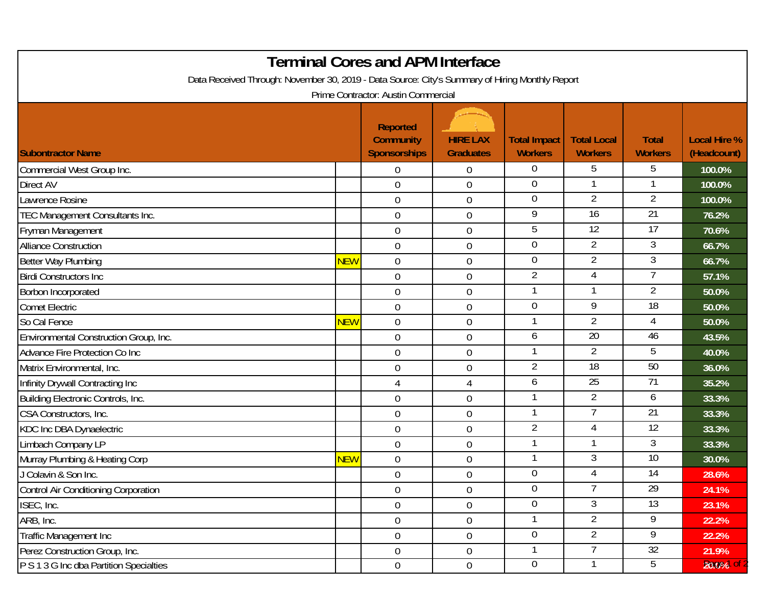| <b>Terminal Cores and APM Interface</b><br>Data Received Through: November 30, 2019 - Data Source: City's Summary of Hiring Monthly Report |            |                                                            |                                     |                                       |                                      |                                |                                    |  |  |  |  |  |
|--------------------------------------------------------------------------------------------------------------------------------------------|------------|------------------------------------------------------------|-------------------------------------|---------------------------------------|--------------------------------------|--------------------------------|------------------------------------|--|--|--|--|--|
| Prime Contractor: Austin Commercial                                                                                                        |            |                                                            |                                     |                                       |                                      |                                |                                    |  |  |  |  |  |
| <b>Subontractor Name</b>                                                                                                                   |            | <b>Reported</b><br><b>Community</b><br><b>Sponsorships</b> | <b>HIRE LAX</b><br><b>Graduates</b> | <b>Total Impact</b><br><b>Workers</b> | <b>Total Local</b><br><b>Workers</b> | <b>Total</b><br><b>Workers</b> | <b>Local Hire %</b><br>(Headcount) |  |  |  |  |  |
| Commercial West Group Inc.                                                                                                                 |            | $\Omega$                                                   | $\boldsymbol{0}$                    | $\overline{0}$                        | 5                                    | 5                              | 100.0%                             |  |  |  |  |  |
| Direct AV                                                                                                                                  |            | $\overline{0}$                                             | $\boldsymbol{0}$                    | $\overline{0}$                        |                                      |                                | 100.0%                             |  |  |  |  |  |
| awrence Rosine                                                                                                                             |            | $\boldsymbol{0}$                                           | $\boldsymbol{0}$                    | $\boldsymbol{0}$                      | $\overline{2}$                       | 2                              | 100.0%                             |  |  |  |  |  |
| TEC Management Consultants Inc.                                                                                                            |            | $\mathbf 0$                                                | $\boldsymbol{0}$                    | 9                                     | 16                                   | $\overline{21}$                | 76.2%                              |  |  |  |  |  |
| Fryman Management                                                                                                                          |            | $\mathbf 0$                                                | $\boldsymbol{0}$                    | 5                                     | 12                                   | 17                             | 70.6%                              |  |  |  |  |  |
| <b>Alliance Construction</b>                                                                                                               |            | $\mathbf 0$                                                | $\boldsymbol{0}$                    | $\overline{0}$                        | $\overline{2}$                       | 3                              | 66.7%                              |  |  |  |  |  |
| <b>Better Way Plumbing</b>                                                                                                                 | <b>NEW</b> | $\mathbf 0$                                                | $\boldsymbol{0}$                    | $\Omega$                              | $\overline{2}$                       | 3                              | 66.7%                              |  |  |  |  |  |
| <b>Birdi Constructors Inc.</b>                                                                                                             |            | $\mathbf 0$                                                | $\boldsymbol{0}$                    | $\overline{2}$                        | 4                                    | 7                              | 57.1%                              |  |  |  |  |  |
| Borbon Incorporated                                                                                                                        |            | $\mathbf 0$                                                | $\boldsymbol{0}$                    |                                       |                                      | $\overline{2}$                 | 50.0%                              |  |  |  |  |  |
| <b>Comet Electric</b>                                                                                                                      |            | $\overline{0}$                                             | $\boldsymbol{0}$                    | $\overline{0}$                        | 9                                    | 18                             | 50.0%                              |  |  |  |  |  |
| So Cal Fence                                                                                                                               | <b>NEW</b> | $\boldsymbol{0}$                                           | $\boldsymbol{0}$                    |                                       | $\overline{2}$                       | 4                              | 50.0%                              |  |  |  |  |  |
| Environmental Construction Group, Inc.                                                                                                     |            | 0                                                          | $\boldsymbol{0}$                    | 6                                     | $\overline{20}$                      | 46                             | 43.5%                              |  |  |  |  |  |
| Advance Fire Protection Co Inc                                                                                                             |            | $\overline{0}$                                             | $\mathbf 0$                         | 1                                     | $\overline{2}$                       | 5                              | 40.0%                              |  |  |  |  |  |
| Matrix Environmental, Inc.                                                                                                                 |            | $\mathbf 0$                                                | $\boldsymbol{0}$                    | $\overline{2}$                        | 18                                   | 50                             | 36.0%                              |  |  |  |  |  |
| Infinity Drywall Contracting Inc                                                                                                           |            | 4                                                          | $\overline{4}$                      | 6                                     | 25                                   | 71                             | 35.2%                              |  |  |  |  |  |
| Building Electronic Controls, Inc.                                                                                                         |            | $\mathbf 0$                                                | $\boldsymbol{0}$                    |                                       | $\overline{2}$                       | 6                              | 33.3%                              |  |  |  |  |  |
| CSA Constructors, Inc.                                                                                                                     |            | $\overline{0}$                                             | $\boldsymbol{0}$                    |                                       | 7                                    | $\overline{21}$                | 33.3%                              |  |  |  |  |  |
| KDC Inc DBA Dynaelectric                                                                                                                   |            | $\mathbf 0$                                                | $\boldsymbol{0}$                    | $\overline{2}$                        | $\overline{4}$                       | $\overline{12}$                | 33.3%                              |  |  |  |  |  |
| Limbach Company LP                                                                                                                         |            | $\mathbf 0$                                                | $\boldsymbol{0}$                    |                                       |                                      | 3                              | 33.3%                              |  |  |  |  |  |
| Murray Plumbing & Heating Corp                                                                                                             | NEW        | $\mathbf 0$                                                | $\boldsymbol{0}$                    |                                       | 3                                    | $\overline{10}$                | 30.0%                              |  |  |  |  |  |
| J Colavin & Son Inc.                                                                                                                       |            | $\mathbf 0$                                                | $\mathbf 0$                         | $\mathbf 0$                           | 4                                    | 14                             | 28.6%                              |  |  |  |  |  |
| Control Air Conditioning Corporation                                                                                                       |            | $\mathbf 0$                                                | $\boldsymbol{0}$                    | $\Omega$                              |                                      | $\overline{29}$                | 24.1%                              |  |  |  |  |  |
| ISEC, Inc.                                                                                                                                 |            | $\mathbf 0$                                                | $\boldsymbol{0}$                    | $\overline{0}$                        | $\mathfrak{Z}$                       | 13                             | 23.1%                              |  |  |  |  |  |
| ARB, Inc.                                                                                                                                  |            | $\overline{0}$                                             | $0\,$                               |                                       | $\overline{2}$                       | 9                              | 22.2%                              |  |  |  |  |  |
| Traffic Management Inc                                                                                                                     |            | $\overline{0}$                                             | $0\,$                               | $\overline{0}$                        | $\overline{2}$                       | 9                              | 22.2%                              |  |  |  |  |  |
| Perez Construction Group, Inc.                                                                                                             |            | $\mathbf 0$                                                | $0\,$                               |                                       | 7                                    | 32                             | 21.9%                              |  |  |  |  |  |
| P S 1 3 G Inc dba Partition Specialties                                                                                                    |            | $\overline{0}$                                             | $\boldsymbol{0}$                    | 0                                     |                                      | 5                              | 20.0%                              |  |  |  |  |  |